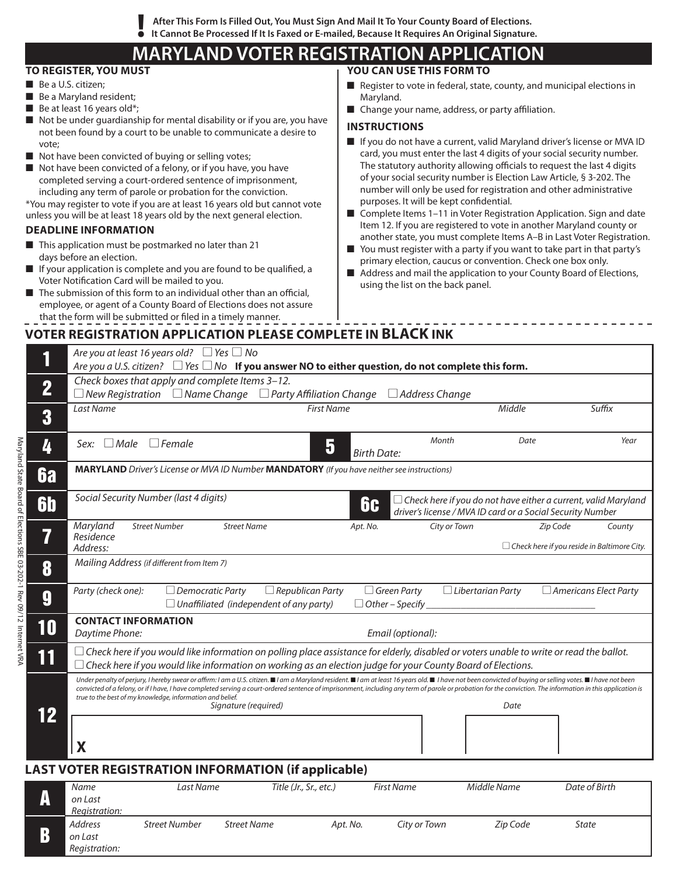**After This Form Is Filled Out, You Must Sign And Mail It To Your County Board of Elections. ! It Cannot Be Processed If It Is Faxed or E-mailed, Because It Requires An Original Signature.**

# **MARYLAND VOTER REGISTRATION APPLICATION**

### **To Register, You Must**

- Be a U.S. citizen;
- $\blacksquare$  Be a Maryland resident;
- $\blacksquare$  Be at least 16 years old\*;
- $\blacksquare$  Not be under guardianship for mental disability or if you are, you have not been found by a court to be unable to communicate a desire to vote;
- $\blacksquare$  Not have been convicted of buying or selling votes;
- Not have been convicted of a felony, or if you have, you have completed serving a court-ordered sentence of imprisonment, including any term of parole or probation for the conviction.

\*you may register to vote if you are at least 16 years old but cannot vote unless you will be at least 18 years old by the next general election.

### **Deadline Information**

- $\blacksquare$  This application must be postmarked no later than 21 days before an election.
- $\blacksquare$  If your application is complete and you are found to be qualified, a Voter Notification Card will be mailed to you.
- $\blacksquare$  The submission of this form to an individual other than an official, employee, or agent of a County Board of Elections does not assure that the form will be submitted or filed in a timely manner.

## **You Can Use This Form To**

- Register to vote in federal, state, county, and municipal elections in Maryland.
- Change your name, address, or party affiliation.

### **INSTRUCTIONS**

- If you do not have a current, valid Maryland driver's license or MVA ID card, you must enter the last 4 digits of your social security number. The statutory authority allowing officials to request the last 4 digits of your social security number is Election Law Article, § 3-202. The number will only be used for registration and other administrative purposes. It will be kept confidential.
- Complete Items 1-11 in Voter Registration Application. Sign and date Item 12. If you are registered to vote in another Maryland county or another state, you must complete Items A–B in Last Voter Registration.
- You must register with a party if you want to take part in that party's primary election, caucus or convention. Check one box only.
- Address and mail the application to your County Board of Elections, using the list on the back panel.

# **Voter registration Application Please complete in BLACK ink**

|                                                            | Are you at least 16 years old? $\Box$ Yes $\Box$ No<br>Are you a U.S. citizen? $\Box$ Yes $\Box$ No If you answer NO to either question, do not complete this form.                                                                                                                                                                                                                                                                                                                                                |                    |                                              |                                                                                                                                     |                                                                |        |
|------------------------------------------------------------|--------------------------------------------------------------------------------------------------------------------------------------------------------------------------------------------------------------------------------------------------------------------------------------------------------------------------------------------------------------------------------------------------------------------------------------------------------------------------------------------------------------------|--------------------|----------------------------------------------|-------------------------------------------------------------------------------------------------------------------------------------|----------------------------------------------------------------|--------|
| $\overline{\mathbf{2}}$                                    | Check boxes that apply and complete Items 3-12.<br>$\Box$ New Registration $\Box$ Name Change $\Box$ Party Affiliation Change                                                                                                                                                                                                                                                                                                                                                                                      |                    | $\Box$ Address Change                        |                                                                                                                                     |                                                                |        |
| 3                                                          | <b>First Name</b><br>Last Name                                                                                                                                                                                                                                                                                                                                                                                                                                                                                     |                    |                                              | Middle                                                                                                                              |                                                                | Suffix |
| 4                                                          | $\Box$ Female<br>5<br>Male<br>Sex:                                                                                                                                                                                                                                                                                                                                                                                                                                                                                 | <b>Birth Date:</b> | Month                                        | Date                                                                                                                                |                                                                | Year   |
| 6a                                                         | <b>MARYLAND</b> Driver's License or MVA ID Number MANDATORY (If you have neither see instructions)                                                                                                                                                                                                                                                                                                                                                                                                                 |                    |                                              |                                                                                                                                     |                                                                |        |
| <b>6b</b>                                                  | Social Security Number (last 4 digits)                                                                                                                                                                                                                                                                                                                                                                                                                                                                             | 6c                 |                                              | $\Box$ Check here if you do not have either a current, valid Maryland<br>driver's license / MVA ID card or a Social Security Number |                                                                |        |
| 7                                                          | Maryland<br><b>Street Number</b><br><b>Street Name</b><br>Residence<br>Address:                                                                                                                                                                                                                                                                                                                                                                                                                                    | Apt. No.           | City or Town                                 |                                                                                                                                     | Zip Code<br>$\Box$ Check here if you reside in Baltimore City. | County |
| 8                                                          | Mailing Address (if different from Item 7)                                                                                                                                                                                                                                                                                                                                                                                                                                                                         |                    |                                              |                                                                                                                                     |                                                                |        |
| 9                                                          | Party (check one):<br>$\Box$ Republican Party<br>$\Box$ Democratic Party<br>$\Box$ Unaffiliated (independent of any party)                                                                                                                                                                                                                                                                                                                                                                                         |                    | $\Box$ Green Party<br>$\Box$ Other – Specify | $\Box$ Libertarian Party                                                                                                            | $\Box$ Americans Elect Party                                   |        |
| 10                                                         | <b>CONTACT INFORMATION</b><br>Daytime Phone:<br>Email (optional):                                                                                                                                                                                                                                                                                                                                                                                                                                                  |                    |                                              |                                                                                                                                     |                                                                |        |
| 11                                                         | $\Box$ Check here if you would like information on polling place assistance for elderly, disabled or voters unable to write or read the ballot.<br>$\Box$ Check here if you would like information on working as an election judge for your County Board of Elections.                                                                                                                                                                                                                                             |                    |                                              |                                                                                                                                     |                                                                |        |
|                                                            | Under penalty of perjury, I hereby swear or affirm: I am a U.S. citizen.■I am a Maryland resident.■I am at least 16 years old.■ I have not been convicted of buying or selling votes.■I have not been<br>convicted of a felony, or if I have, I have completed serving a court-ordered sentence of imprisonment, including any term of parole or probation for the conviction. The information in this application is<br>true to the best of my knowledge, information and belief.<br>Signature (required)<br>Date |                    |                                              |                                                                                                                                     |                                                                |        |
| 12                                                         | X                                                                                                                                                                                                                                                                                                                                                                                                                                                                                                                  |                    |                                              |                                                                                                                                     |                                                                |        |
| <b>LAST VOTER REGISTRATION INFORMATION (if applicable)</b> |                                                                                                                                                                                                                                                                                                                                                                                                                                                                                                                    |                    |                                              |                                                                                                                                     |                                                                |        |
| A                                                          | <b>Last Name</b><br>Title (Jr., Sr., etc.)<br><b>Name</b><br>on Last<br>Registration:                                                                                                                                                                                                                                                                                                                                                                                                                              |                    | <b>First Name</b>                            | Middle Name                                                                                                                         | Date of Birth                                                  |        |
| B                                                          | <b>Street Number</b><br><b>Address</b><br><b>Street Name</b><br>on Last<br>Reaistration:                                                                                                                                                                                                                                                                                                                                                                                                                           | Apt. No.           | City or Town                                 | Zip Code                                                                                                                            | <b>State</b>                                                   |        |